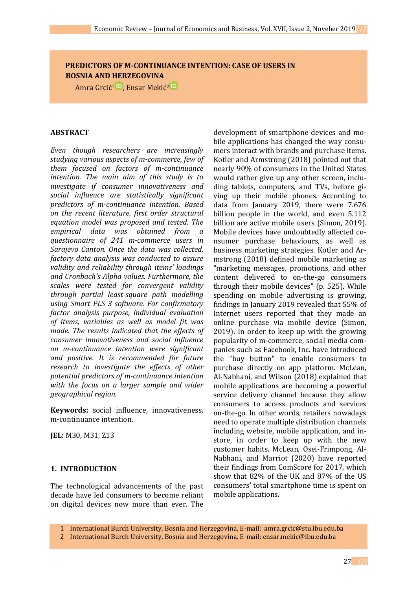# **PREDICTORS OF M-CONTINUANCE INTENTION: CASE OF USERS IN BOSNIA AND HERZEGOVINA**

Amra Grcić<sup>[1](https://orcid.org/0000-0002-6645-8167)</sup><sup>iD</sup>[,](https://orcid.org/0000-0002-7309-9123) Ensar [Mekić](https://orcid.org/0000-0001-5531-4566)<sup>2</sup><sup>iD</sup>

### **ABSTRACT**

*Even though researchers are increasingly studying various aspects of m-commerce, few of them focused on factors of m-continuance intention. The main aim of this study is to investigate if consumer innovativeness and social influence are statistically significant predictors of m-continuance intention. Based on the recent literature, first order structural equation model was proposed and tested. The empirical data was obtained from a questionnaire of 241 m-commerce users in Sarajevo Canton. Once the data was collected, factory data analysis was conducted to assure validity and reliability through items' loadings and Cronbach's Alpha values. Furthermore, the scales were tested for convergent validity through partial least-square path modelling using Smart PLS 3 software. For confirmatory factor analysis purpose, individual evaluation of items, variables as well as model fit was made. The results indicated that the effects of consumer innovativeness and social influence on m-continuance intention were significant and positive. It is recommended for future research to investigate the effects of other potential predictors of m-continuance intention with the focus on a larger sample and wider geographical region.*

**Keywords:** social influence, innovativeness, m-continuance intention.

**JEL:** M30, M31, Z13

### **1. INTRODUCTION**

The technological advancements of the past decade have led consumers to become reliant on digital devices now more than ever. The

development of smartphone devices and mobile applications has changed the way consumers interact with brands and purchase items. Kotler and Armstrong (2018) pointed out that nearly 90% of consumers in the United States would rather give up any other screen, including tablets, computers, and TVs, before giving up their mobile phones. According to data from January 2019, there were 7.676 billion people in the world, and even 5.112 billion are active mobile users (Simon, 2019). Mobile devices have undoubtedly affected consumer purchase behaviours, as well as business marketing strategies. Kotler and Armstrong (2018) defined mobile marketing as "marketing messages, promotions, and other content delivered to on-the-go consumers through their mobile devices" (p. 525). While spending on mobile advertising is growing, findings in January 2019 revealed that 55% of Internet users reported that they made an online purchase via mobile device (Simon, 2019). In order to keep up with the growing popularity of m-commerce, social media companies such as Facebook, Inc. have introduced the "buy button" to enable consumers to purchase directly on app platform. McLean, Al-Nabhani, and Wilson (2018) explained that mobile applications are becoming a powerful service delivery channel because they allow consumers to access products and services on-the-go. In other words, retailers nowadays need to operate multiple distribution channels including website, mobile application, and instore, in order to keep up with the new customer habits. McLean, Osei-Frimpong, Al-Nabhani, and Marriot (2020) have reported their findings from ComScore for 2017, which show that 82% of the UK and 87% of the US consumers' total smartphone time is spent on mobile applications.

1 International Burch University, Bosnia and Herzegovina, E-mail: [amra.grcic@stu.ibu.edu.ba](mailto:amra.grcic@stu.ibu.edu.ba)

2 International Burch University, Bosnia and Herzegovina, E-mail[: ensar.mekic@ibu.edu.ba](mailto:ensar.mekic@ibu.edu.ba)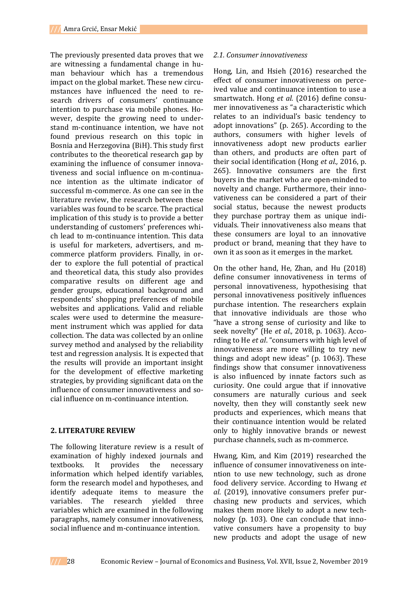The previously presented data proves that we are witnessing a fundamental change in human behaviour which has a tremendous impact on the global market. These new circumstances have influenced the need to research drivers of consumers' continuance intention to purchase via mobile phones. However, despite the growing need to understand m-continuance intention, we have not found previous research on this topic in Bosnia and Herzegovina (BiH). This study first contributes to the theoretical research gap by examining the influence of consumer innovativeness and social influence on m-continuance intention as the ultimate indicator of successful m-commerce. As one can see in the literature review, the research between these variables was found to be scarce. The practical implication of this study is to provide a better understanding of customers' preferences which lead to m-continuance intention. This data is useful for marketers, advertisers, and mcommerce platform providers. Finally, in order to explore the full potential of practical and theoretical data, this study also provides comparative results on different age and gender groups, educational background and respondents' shopping preferences of mobile websites and applications. Valid and reliable scales were used to determine the measurement instrument which was applied for data collection. The data was collected by an online survey method and analysed by the reliability test and regression analysis. It is expected that the results will provide an important insight for the development of effective marketing strategies, by providing significant data on the influence of consumer innovativeness and social influence on m-continuance intention.

### **2. LITERATURE REVIEW**

The following literature review is a result of examination of highly indexed journals and textbooks. It provides the necessary information which helped identify variables, form the research model and hypotheses, and identify adequate items to measure the variables. The research yielded three variables which are examined in the following paragraphs, namely consumer innovativeness, social influence and m-continuance intention.

#### *2.1. Consumer innovativeness*

Hong, Lin, and Hsieh (2016) researched the effect of consumer innovativeness on perceived value and continuance intention to use a smartwatch. Hong *et al.* (2016) define consumer innovativeness as "a characteristic which relates to an individual's basic tendency to adopt innovations" (p. 265). According to the authors, consumers with higher levels of innovativeness adopt new products earlier than others, and products are often part of their social identification (Hong *et al.,* 2016, p. 265). Innovative consumers are the first buyers in the market who are open-minded to novelty and change. Furthermore, their innovativeness can be considered a part of their social status, because the newest products they purchase portray them as unique individuals. Their innovativeness also means that these consumers are loyal to an innovative product or brand, meaning that they have to own it as soon as it emerges in the market.

On the other hand, He, Zhan, and Hu (2018) define consumer innovativeness in terms of personal innovativeness, hypothesising that personal innovativeness positively influences purchase intention. The researchers explain that innovative individuals are those who "have a strong sense of curiosity and like to seek novelty" (He *et al.,* 2018, p. 1063). According to He *et al*. "consumers with high level of innovativeness are more willing to try new things and adopt new ideas" (p. 1063). These findings show that consumer innovativeness is also influenced by innate factors such as curiosity. One could argue that if innovative consumers are naturally curious and seek novelty, then they will constantly seek new products and experiences, which means that their continuance intention would be related only to highly innovative brands or newest purchase channels, such as m-commerce.

Hwang, Kim, and Kim (2019) researched the influence of consumer innovativeness on intention to use new technology, such as drone food delivery service. According to Hwang *et al.* (2019), innovative consumers prefer purchasing new products and services, which makes them more likely to adopt a new technology (p. 103). One can conclude that innovative consumers have a propensity to buy new products and adopt the usage of new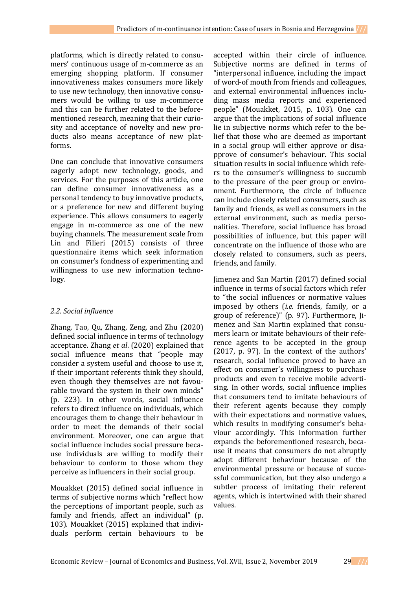platforms, which is directly related to consumers' continuous usage of m-commerce as an emerging shopping platform. If consumer innovativeness makes consumers more likely to use new technology, then innovative consumers would be willing to use m-commerce and this can be further related to the beforementioned research, meaning that their curiosity and acceptance of novelty and new products also means acceptance of new platforms.

One can conclude that innovative consumers eagerly adopt new technology, goods, and services. For the purposes of this article, one can define consumer innovativeness as a personal tendency to buy innovative products, or a preference for new and different buying experience. This allows consumers to eagerly engage in m-commerce as one of the new buying channels. The measurement scale from Lin and Filieri (2015) consists of three questionnaire items which seek information on consumer's fondness of experimenting and willingness to use new information technology.

### *2.2. Social influence*

Zhang, Tao, Qu, Zhang, Zeng, and Zhu (2020) defined social influence in terms of technology acceptance. Zhang *et al*. (2020) explained that social influence means that "people may consider a system useful and choose to use it, if their important referents think they should, even though they themselves are not favourable toward the system in their own minds" (p. 223). In other words, social influence refers to direct influence on individuals, which encourages them to change their behaviour in order to meet the demands of their social environment. Moreover, one can argue that social influence includes social pressure because individuals are willing to modify their behaviour to conform to those whom they perceive as influencers in their social group.

Mouakket (2015) defined social influence in terms of subjective norms which "reflect how the perceptions of important people, such as family and friends, affect an individual" (p. 103). Mouakket (2015) explained that individuals perform certain behaviours to be

accepted within their circle of influence. Subjective norms are defined in terms of "interpersonal influence, including the impact of word-of mouth from friends and colleagues, and external environmental influences including mass media reports and experienced people" (Mouakket, 2015, p. 103). One can argue that the implications of social influence lie in subjective norms which refer to the belief that those who are deemed as important in a social group will either approve or disapprove of consumer's behaviour. This social situation results in social influence which refers to the consumer's willingness to succumb to the pressure of the peer group or environment. Furthermore, the circle of influence can include closely related consumers, such as family and friends, as well as consumers in the external environment, such as media personalities. Therefore, social influence has broad possibilities of influence, but this paper will concentrate on the influence of those who are closely related to consumers, such as peers, friends, and family.

Jimenez and San Martin (2017) defined social influence in terms of social factors which refer to "the social influences or normative values imposed by others (*i.e.* friends, family, or a group of reference)" (p. 97). Furthermore, Jimenez and San Martin explained that consumers learn or imitate behaviours of their reference agents to be accepted in the group (2017, p. 97). In the context of the authors' research, social influence proved to have an effect on consumer's willingness to purchase products and even to receive mobile advertising. In other words, social influence implies that consumers tend to imitate behaviours of their referent agents because they comply with their expectations and normative values, which results in modifying consumer's behaviour accordingly. This information further expands the beforementioned research, because it means that consumers do not abruptly adopt different behaviour because of the environmental pressure or because of successful communication, but they also undergo a subtler process of imitating their referent agents, which is intertwined with their shared values.

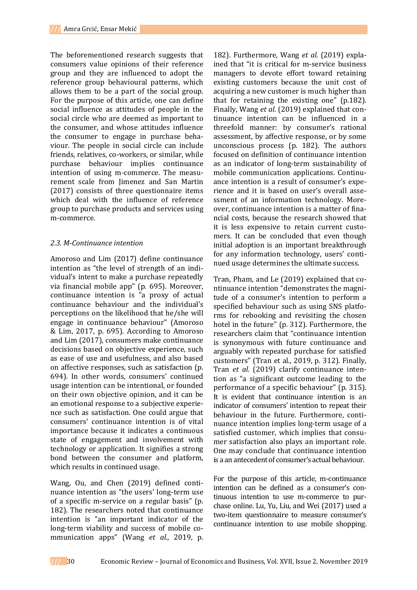The beforementioned research suggests that consumers value opinions of their reference group and they are influenced to adopt the reference group behavioural patterns, which allows them to be a part of the social group. For the purpose of this article, one can define social influence as attitudes of people in the social circle who are deemed as important to the consumer, and whose attitudes influence the consumer to engage in purchase behaviour. The people in social circle can include friends, relatives, co-workers, or similar, while purchase behaviour implies continuance intention of using m-commerce. The measurement scale from Jimenez and San Martin (2017) consists of three questionnaire items which deal with the influence of reference group to purchase products and services using m-commerce.

#### *2.3. M-Continuance intention*

Amoroso and Lim (2017) define continuance intention as "the level of strength of an individual's intent to make a purchase repeatedly via financial mobile app" (p. 695). Moreover, continuance intention is "a proxy of actual continuance behaviour and the individual's perceptions on the likelihood that he/she will engage in continuance behaviour" (Amoroso & Lim, 2017, p. 695). According to Amoroso and Lim (2017), consumers make continuance decisions based on objective experience, such as ease of use and usefulness, and also based on affective responses, such as satisfaction (p. 694). In other words, consumers' continued usage intention can be intentional, or founded on their own objective opinion, and it can be an emotional response to a subjective experience such as satisfaction. One could argue that consumers' continuance intention is of vital importance because it indicates a continuous state of engagement and involvement with technology or application. It signifies a strong bond between the consumer and platform, which results in continued usage.

Wang, Ou, and Chen (2019) defined continuance intention as "the users' long-term use of a specific m-service on a regular basis" (p. 182). The researchers noted that continuance intention is "an important indicator of the long-term viability and success of mobile communication apps" (Wang *et al.,* 2019, p.

182). Furthermore, Wang *et al.* (2019) explained that "it is critical for m-service business managers to devote effort toward retaining existing customers because the unit cost of acquiring a new customer is much higher than that for retaining the existing one" (p.182). Finally, Wang *et al*. (2019) explained that continuance intention can be influenced in a threefold manner: by consumer's rational assessment, by affective response, or by some unconscious process (p. 182). The authors focused on definition of continuance intention as an indicator of long-term sustainability of mobile communication applications. Continuance intention is a result of consumer's experience and it is based on user's overall assessment of an information technology. Moreover, continuance intention is a matter of financial costs, because the research showed that it is less expensive to retain current customers. It can be concluded that even though initial adoption is an important breakthrough for any information technology, users' continued usage determines the ultimate success.

Tran, Pham, and Le (2019) explained that continuance intention "demonstrates the magnitude of a consumer's intention to perform a specified behaviour such as using SNS platforms for rebooking and revisiting the chosen hotel in the future" (p. 312). Furthermore, the researchers claim that "continuance intention is synonymous with future continuance and arguably with repeated purchase for satisfied customers" (Tran et al., 2019, p. 312). Finally, Tran *et al*. (2019) clarify continuance intention as "a significant outcome leading to the performance of a specific behaviour" (p. 315). It is evident that continuance intention is an indicator of consumers' intention to repeat their behaviour in the future. Furthermore, continuance intention implies long-term usage of a satisfied customer, which implies that consumer satisfaction also plays an important role. One may conclude that continuance intention is a an antecedent of consumer's actual behaviour.

For the purpose of this article, m-continuance intention can be defined as a consumer's continuous intention to use m-commerce to purchase online. Lu, Yu, Liu, and Wei (2017) used a two-item questionnaire to measure consumer's continuance intention to use mobile shopping.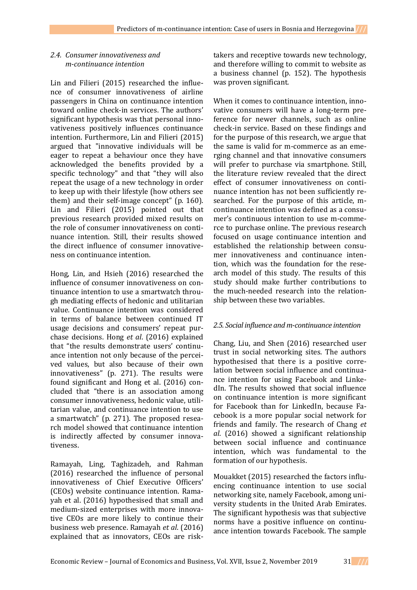## *2.4. Consumer innovativeness and m-continuance intention*

Lin and Filieri (2015) researched the influence of consumer innovativeness of airline passengers in China on continuance intention toward online check-in services. The authors' significant hypothesis was that personal innovativeness positively influences continuance intention. Furthermore, Lin and Filieri (2015) argued that "innovative individuals will be eager to repeat a behaviour once they have acknowledged the benefits provided by a specific technology" and that "they will also repeat the usage of a new technology in order to keep up with their lifestyle (how others see them) and their self-image concept" (p. 160). Lin and Filieri (2015) pointed out that previous research provided mixed results on the role of consumer innovativeness on continuance intention. Still, their results showed the direct influence of consumer innovativeness on continuance intention.

Hong, Lin, and Hsieh (2016) researched the influence of consumer innovativeness on continuance intention to use a smartwatch through mediating effects of hedonic and utilitarian value. Continuance intention was considered in terms of balance between continued IT usage decisions and consumers' repeat purchase decisions. Hong *et al*. (2016) explained that "the results demonstrate users' continuance intention not only because of the perceived values, but also because of their own innovativeness" (p. 271). The results were found significant and Hong et al. (2016) concluded that "there is an association among consumer innovativeness, hedonic value, utilitarian value, and continuance intention to use a smartwatch" (p. 271). The proposed research model showed that continuance intention is indirectly affected by consumer innovativeness.

Ramayah, Ling, Taghizadeh, and Rahman (2016) researched the influence of personal innovativeness of Chief Executive Officers' (CEOs) website continuance intention. Ramayah et al. (2016) hypothesised that small and medium-sized enterprises with more innovative CEOs are more likely to continue their business web presence. Ramayah *et al*. (2016) explained that as innovators, CEOs are risktakers and receptive towards new technology, and therefore willing to commit to website as a business channel (p. 152). The hypothesis was proven significant.

When it comes to continuance intention, innovative consumers will have a long-term preference for newer channels, such as online check-in service. Based on these findings and for the purpose of this research, we argue that the same is valid for m-commerce as an emerging channel and that innovative consumers will prefer to purchase via smartphone. Still, the literature review revealed that the direct effect of consumer innovativeness on continuance intention has not been sufficiently researched. For the purpose of this article, mcontinuance intention was defined as a consumer's continuous intention to use m-commerce to purchase online. The previous research focused on usage continuance intention and established the relationship between consumer innovativeness and continuance intention, which was the foundation for the research model of this study. The results of this study should make further contributions to the much-needed research into the relationship between these two variables.

### *2.5. Social influence and m-continuance intention*

Chang, Liu, and Shen (2016) researched user trust in social networking sites. The authors hypothesised that there is a positive correlation between social influence and continuance intention for using Facebook and LinkedIn. The results showed that social influence on continuance intention is more significant for Facebook than for LinkedIn, because Facebook is a more popular social network for friends and family. The research of Chang *et al*. (2016) showed a significant relationship between social influence and continuance intention, which was fundamental to the formation of our hypothesis.

Mouakket (2015) researched the factors influencing continuance intention to use social networking site, namely Facebook, among university students in the United Arab Emirates. The significant hypothesis was that subjective norms have a positive influence on continuance intention towards Facebook. The sample

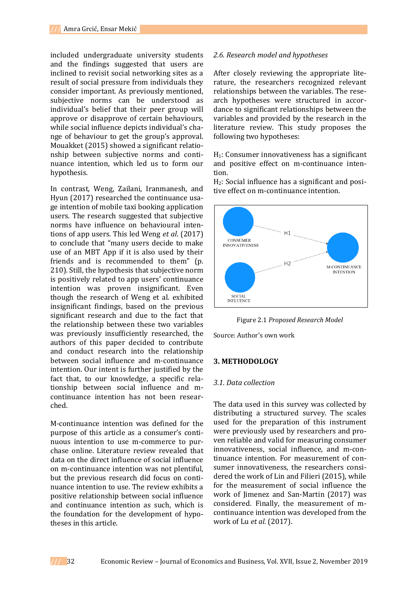included undergraduate university students and the findings suggested that users are inclined to revisit social networking sites as a result of social pressure from individuals they consider important. As previously mentioned, subjective norms can be understood as individual's belief that their peer group will approve or disapprove of certain behaviours, while social influence depicts individual's change of behaviour to get the group's approval. Mouakket (2015) showed a significant relationship between subjective norms and continuance intention, which led us to form our hypothesis.

In contrast, Weng, Zailani, Iranmanesh, and Hyun (2017) researched the continuance usage intention of mobile taxi booking application users. The research suggested that subjective norms have influence on behavioural intentions of app users. This led Weng *et al*. (2017) to conclude that "many users decide to make use of an MBT App if it is also used by their friends and is recommended to them" (p. 210). Still, the hypothesis that subjective norm is positively related to app users' continuance intention was proven insignificant. Even though the research of Weng et al. exhibited insignificant findings, based on the previous significant research and due to the fact that the relationship between these two variables was previously insufficiently researched, the authors of this paper decided to contribute and conduct research into the relationship between social influence and m-continuance intention. Our intent is further justified by the fact that, to our knowledge, a specific relationship between social influence and mcontinuance intention has not been researched.

M-continuance intention was defined for the purpose of this article as a consumer's continuous intention to use m-commerce to purchase online. Literature review revealed that data on the direct influence of social influence on m-continuance intention was not plentiful, but the previous research did focus on continuance intention to use. The review exhibits a positive relationship between social influence and continuance intention as such, which is the foundation for the development of hypotheses in this article.

#### *2.6. Research model and hypotheses*

After closely reviewing the appropriate literature, the researchers recognized relevant relationships between the variables. The research hypotheses were structured in accordance to significant relationships between the variables and provided by the research in the literature review. This study proposes the following two hypotheses:

 $H_1$ : Consumer innovativeness has a significant and positive effect on m-continuance intention.

H2: Social influence has a significant and positive effect on m-continuance intention.



Figure 2.1 *Proposed Research Model*

Source: Author's own work

#### **3. METHODOLOGY**

#### *3.1. Data collection*

The data used in this survey was collected by distributing a structured survey. The scales used for the preparation of this instrument were previously used by researchers and proven reliable and valid for measuring consumer innovativeness, social influence, and m-continuance intention. For measurement of consumer innovativeness, the researchers considered the work of Lin and Filieri (2015), while for the measurement of social influence the work of Jimenez and San-Martin (2017) was considered. Finally, the measurement of mcontinuance intention was developed from the work of Lu *et al.* (2017).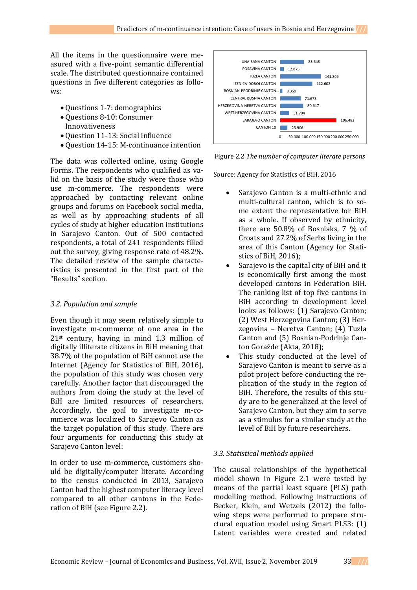All the items in the questionnaire were measured with a five-point semantic differential scale. The distributed questionnaire contained questions in five different categories as follows:

- Questions 1-7: demographics
- Questions 8-10: Consumer Innovativeness
- Question 11-13: Social Influence
- Question 14-15: M-continuance intention

The data was collected online, using Google Forms. The respondents who qualified as valid on the basis of the study were those who use m-commerce. The respondents were approached by contacting relevant online groups and forums on Facebook social media, as well as by approaching students of all cycles of study at higher education institutions in Sarajevo Canton. Out of 500 contacted respondents, a total of 241 respondents filled out the survey, giving response rate of 48.2%. The detailed review of the sample characteristics is presented in the first part of the "Results" section.

### *3.2. Population and sample*

Even though it may seem relatively simple to investigate m-commerce of one area in the 21st century, having in mind 1.3 million of digitally illiterate citizens in BiH meaning that 38.7% of the population of BiH cannot use the Internet (Agency for Statistics of BiH, 2016), the population of this study was chosen very carefully. Another factor that discouraged the authors from doing the study at the level of BiH are limited resources of researchers. Accordingly, the goal to investigate m-commerce was localized to Sarajevo Canton as the target population of this study. There are four arguments for conducting this study at Sarajevo Canton level:

In order to use m-commerce, customers should be digitally/computer literate. According to the census conducted in 2013, Sarajevo Canton had the highest computer literacy level compared to all other cantons in the Federation of BiH (see Figure 2.2).



Figure 2.2 *The number of computer literate persons*

Source: Agency for Statistics of BiH, 2016

- Sarajevo Canton is a multi-ethnic and multi-cultural canton, which is to some extent the representative for BiH as a whole. If observed by ethnicity, there are 50.8% of Bosniaks, 7 % of Croats and 27.2% of Serbs living in the area of this Canton (Agency for Statistics of BiH, 2016);
- Sarajevo is the capital city of BiH and it is economically first among the most developed cantons in Federation BiH. The ranking list of top five cantons in BiH according to development level looks as follows: (1) Sarajevo Canton; (2) West Herzegovina Canton; (3) Herzegovina – Neretva Canton; (4) Tuzla Canton and (5) Bosnian-Podrinje Canton Goražde (Akta, 2018);
- This study conducted at the level of Sarajevo Canton is meant to serve as a pilot project before conducting the replication of the study in the region of BiH. Therefore, the results of this study are to be generalized at the level of Sarajevo Canton, but they aim to serve as a stimulus for a similar study at the level of BiH by future researchers.

### *3.3. Statistical methods applied*

The causal relationships of the hypothetical model shown in Figure 2.1 were tested by means of the partial least square (PLS) path modelling method. Following instructions of Becker, Klein, and Wetzels (2012) the following steps were performed to prepare structural equation model using Smart PLS3: (1) Latent variables were created and related

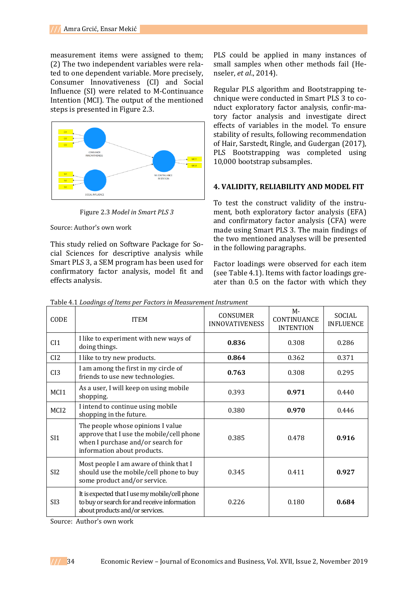measurement items were assigned to them; (2) The two independent variables were related to one dependent variable. More precisely, Consumer Innovativeness (CI) and Social Influence (SI) were related to M-Continuance Intention (MCI). The output of the mentioned steps is presented in Figure 2.3.



Figure 2.3 *Model in Smart PLS 3*

Source: Author's own work

This study relied on Software Package for Social Sciences for descriptive analysis while Smart PLS 3, a SEM program has been used for confirmatory factor analysis, model fit and effects analysis.

PLS could be applied in many instances of small samples when other methods fail (Henseler, *et al*., 2014).

Regular PLS algorithm and Bootstrapping technique were conducted in Smart PLS 3 to conduct exploratory factor analysis, confir-matory factor analysis and investigate direct effects of variables in the model. To ensure stability of results, following recommendation of Hair, Sarstedt, Ringle, and Gudergan (2017), PLS Bootstrapping was completed using 10,000 bootstrap subsamples.

#### **4. VALIDITY, RELIABILITY AND MODEL FIT**

To test the construct validity of the instrument, both exploratory factor analysis (EFA) and confirmatory factor analysis (CFA) were made using Smart PLS 3. The main findings of the two mentioned analyses will be presented in the following paragraphs.

Factor loadings were observed for each item (see Table 4.1). Items with factor loadings greater than 0.5 on the factor with which they

| CODE             | <b>ITEM</b>                                                                                                                                       | CONSUMER<br><b>INNOVATIVENESS</b> | $M -$<br>CONTINUANCE<br><b>INTENTION</b> | SOCIAL<br><b>INFLUENCE</b> |
|------------------|---------------------------------------------------------------------------------------------------------------------------------------------------|-----------------------------------|------------------------------------------|----------------------------|
| CI <sub>1</sub>  | I like to experiment with new ways of<br>doing things.                                                                                            | 0.836                             | 0.308                                    | 0.286                      |
| CI2              | I like to try new products.                                                                                                                       | 0.864                             | 0.362                                    | 0.371                      |
| CI3              | I am among the first in my circle of<br>friends to use new technologies.                                                                          | 0.763                             | 0.308                                    | 0.295                      |
| MCI1             | As a user, I will keep on using mobile<br>shopping.                                                                                               | 0.393                             | 0.971                                    | 0.440                      |
| MCI <sub>2</sub> | I intend to continue using mobile<br>shopping in the future.                                                                                      | 0.380                             | 0.970                                    | 0.446                      |
| SI <sub>1</sub>  | The people whose opinions I value<br>approve that I use the mobile/cell phone<br>when I purchase and/or search for<br>information about products. | 0.385                             | 0.478                                    | 0.916                      |
| SI <sub>2</sub>  | Most people I am aware of think that I<br>should use the mobile/cell phone to buy<br>some product and/or service.                                 | 0.345                             | 0.411                                    | 0.927                      |
| SI <sub>3</sub>  | It is expected that I use my mobile/cell phone<br>to buy or search for and receive information<br>about products and/or services.                 | 0.226                             | 0.180                                    | 0.684                      |

Table 4.1 *Loadings of Items per Factors in Measurement Instrument*

Source: Author's own work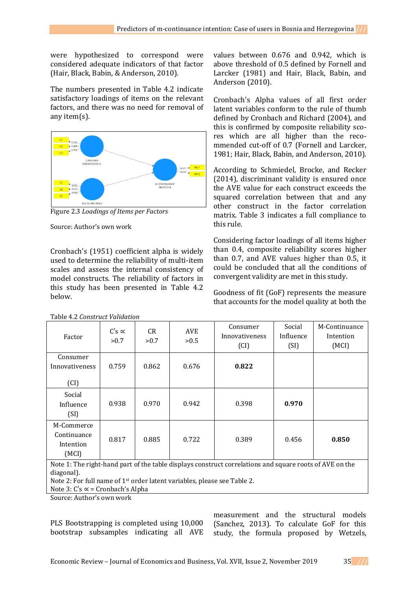were hypothesized to correspond were considered adequate indicators of that factor (Hair, Black, Babin, & Anderson, 2010).

The numbers presented in Table 4.2 indicate satisfactory loadings of items on the relevant factors, and there was no need for removal of any item(s).



Figure 2.3 *Loadings of Items per Factors*

Source: Author's own work

Cronbach's (1951) coefficient alpha is widely used to determine the reliability of multi-item scales and assess the internal consistency of model constructs. The reliability of factors in this study has been presented in Table 4.2 below.

Table 4.2 *Construct Validation*

values between 0.676 and 0.942, which is above threshold of 0.5 defined by Fornell and Larcker (1981) and Hair, Black, Babin, and Anderson (2010).

Cronbach's Alpha values of all first order latent variables conform to the rule of thumb defined by Cronbach and Richard (2004), and this is confirmed by composite reliability scores which are all higher than the recommended cut-off of 0.7 (Fornell and Larcker, 1981; Hair, Black, Babin, and Anderson, 2010).

According to Schmiedel, Brocke, and Recker (2014), discriminant validity is ensured once the AVE value for each construct exceeds the squared correlation between that and any other construct in the factor correlation matrix. Table 3 indicates a full compliance to this rule.

Considering factor loadings of all items higher than 0.4, composite reliability scores higher than 0.7, and AVE values higher than 0.5, it could be concluded that all the conditions of convergent validity are met in this study.

Goodness of fit (GoF) represents the measure that accounts for the model quality at both the

| Factor                                                                                                  | $C's \propto$<br>>0.7 | CR.<br>>0.7 | AVE<br>>0.5 | Consumer<br>Innovativeness<br>(CI) | Social<br>Influence<br>(SI) | M-Continuance<br>Intention<br>(MCI) |
|---------------------------------------------------------------------------------------------------------|-----------------------|-------------|-------------|------------------------------------|-----------------------------|-------------------------------------|
| Consumer<br>Innovativeness<br>(CI)                                                                      | 0.759                 | 0.862       | 0.676       | 0.822                              |                             |                                     |
| Social<br>Influence<br>(SI)                                                                             | 0.938                 | 0.970       | 0.942       | 0.398                              | 0.970                       |                                     |
| M-Commerce<br>Continuance<br>Intention<br>(MCI)                                                         | 0.817                 | 0.885       | 0.722       | 0.389                              | 0.456                       | 0.850                               |
| Note 1: The right-hand part of the table displays construct correlations and square roots of AVE on the |                       |             |             |                                    |                             |                                     |

avs construct correlations and sq diagonal).

Note 2: For full name of 1st order latent variables, please see Table 2.

Note 3:  $C's \propto$  = Cronbach's Alpha

Source: Author's own work

PLS Bootstrapping is completed using 10,000 bootstrap subsamples indicating all AVE

measurement and the structural models (Sanchez, 2013). To calculate GoF for this study, the formula proposed by Wetzels,

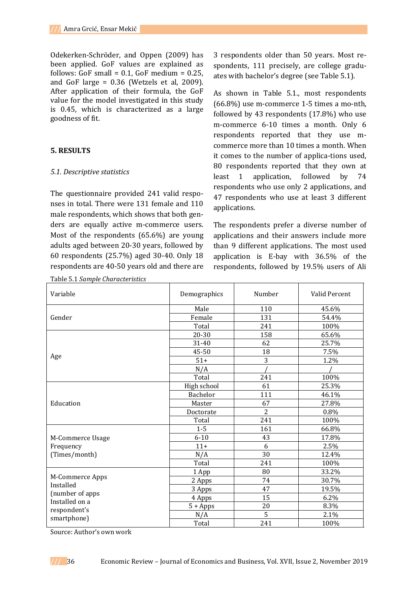Odekerken-Schröder, and Oppen (2009) has been applied. GoF values are explained as follows: GoF small =  $0.1$ , GoF medium =  $0.25$ , and GoF large =  $0.36$  (Wetzels et al, 2009). After application of their formula, the GoF value for the model investigated in this study is 0.45, which is characterized as a large goodness of fit.

### **5. RESULTS**

### *5.1. Descriptive statistics*

The questionnaire provided 241 valid responses in total. There were 131 female and 110 male respondents, which shows that both genders are equally active m-commerce users. Most of the respondents (65.6%) are young adults aged between 20-30 years, followed by 60 respondents (25.7%) aged 30-40. Only 18 respondents are 40-50 years old and there are

Table 5.1 *Sample Characteristics*

3 respondents older than 50 years. Most respondents, 111 precisely, are college graduates with bachelor's degree (see Table 5.1).

As shown in Table 5.1., most respondents (66.8%) use m-commerce 1-5 times a mo-nth, followed by 43 respondents (17.8%) who use m-commerce 6-10 times a month. Only 6 respondents reported that they use mcommerce more than 10 times a month. When it comes to the number of applica-tions used, 80 respondents reported that they own at least 1 application, followed by 74 respondents who use only 2 applications, and 47 respondents who use at least 3 different applications.

The respondents prefer a diverse number of applications and their answers include more than 9 different applications. The most used application is E-bay with 36.5% of the respondents, followed by 19.5% users of Ali

| Variable                          | Demographics    | Number | Valid Percent |
|-----------------------------------|-----------------|--------|---------------|
|                                   | Male            | 110    | 45.6%         |
| Gender                            | Female          | 131    | 54.4%         |
|                                   | Total           | 241    | 100%          |
|                                   | 20-30           | 158    | 65.6%         |
|                                   | 31-40           | 62     | 25.7%         |
|                                   | 45-50           | 18     | 7.5%          |
| Age                               | $51+$           | 3      | 1.2%          |
|                                   | N/A             |        |               |
|                                   | Total           | 241    | 100%          |
|                                   | High school     | 61     | 25.3%         |
|                                   | <b>Bachelor</b> | 111    | 46.1%         |
| Education                         | Master          | 67     | 27.8%         |
|                                   | Doctorate       | 2      | 0.8%          |
|                                   | Total           | 241    | 100%          |
|                                   | $1 - 5$         | 161    | 66.8%         |
| M-Commerce Usage                  | $6 - 10$        | 43     | 17.8%         |
| Frequency                         | $11+$           | 6      | 2.5%          |
| (Times/month)                     | N/A             | 30     | 12.4%         |
|                                   | Total           | 241    | 100%          |
|                                   | 1 App           | 80     | 33.2%         |
| M-Commerce Apps                   | 2 Apps          | 74     | 30.7%         |
| Installed                         | 3 Apps          | 47     | 19.5%         |
| (number of apps<br>Installed on a | 4 Apps          | 15     | 6.2%          |
| respondent's                      | $5 + Apps$      | 20     | 8.3%          |
| smartphone)                       | N/A             | 5      | 2.1%          |
|                                   | Total           | 241    | 100%          |

Source: Author's own work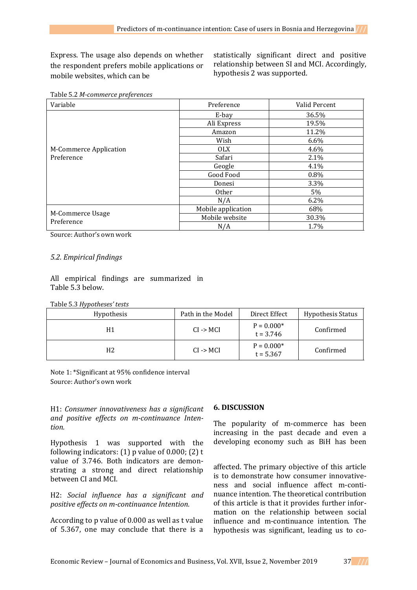Express. The usage also depends on whether the respondent prefers mobile applications or mobile websites, which can be

statistically significant direct and positive relationship between SI and MCI. Accordingly, hypothesis 2 was supported.

| Variable                       | Preference         | Valid Percent |  |
|--------------------------------|--------------------|---------------|--|
|                                | E-bay              | 36.5%         |  |
|                                | Ali Express        | 19.5%         |  |
|                                | Amazon             | 11.2%         |  |
|                                | Wish               | $6.6\%$       |  |
| M-Commerce Application         | <b>OLX</b>         | 4.6%          |  |
| Preference                     | Safari             | 2.1%          |  |
|                                | Geogle             | 4.1%          |  |
|                                | Good Food          | 0.8%          |  |
|                                | Donesi             | 3.3%          |  |
|                                | <b>Other</b>       | 5%            |  |
|                                | N/A                | 6.2%          |  |
|                                | Mobile application | 68%           |  |
| M-Commerce Usage<br>Preference | Mobile website     | 30.3%         |  |
|                                | N/A                | 1.7%          |  |

Table 5.2 *M-commerce preferences*

Source: Author's own work

# *5.2. Empirical findings*

All empirical findings are summarized in Table 5.3 below.

Table 5.3 *Hypotheses' tests*

| Hypothesis | Path in the Model    | Direct Effect               | <b>Hypothesis Status</b> |
|------------|----------------------|-----------------------------|--------------------------|
| H1         | $CI \rightarrow MCI$ | $P = 0.000*$<br>$t = 3.746$ | Confirmed                |
| H2         | $CI \rightarrow MCI$ | $P = 0.000*$<br>$t = 5.367$ | Confirmed                |

Note 1: \*Significant at 95% confidence interval Source: Author's own work

H1: *Consumer innovativeness has a significant and positive effects on m-continuance Intention.*

Hypothesis 1 was supported with the following indicators:  $(1)$  p value of 0.000;  $(2)$  t value of 3.746. Both indicators are demonstrating a strong and direct relationship between CI and MCI.

H2: *Social influence has a significant and positive effects on m-continuance Intention.*

According to p value of 0.000 as well as t value of 5.367, one may conclude that there is a

### **6. DISCUSSION**

The popularity of m-commerce has been increasing in the past decade and even a developing economy such as BiH has been

affected. The primary objective of this article is to demonstrate how consumer innovativeness and social influence affect m-continuance intention. The theoretical contribution of this article is that it provides further information on the relationship between social influence and m-continuance intention. The hypothesis was significant, leading us to co-

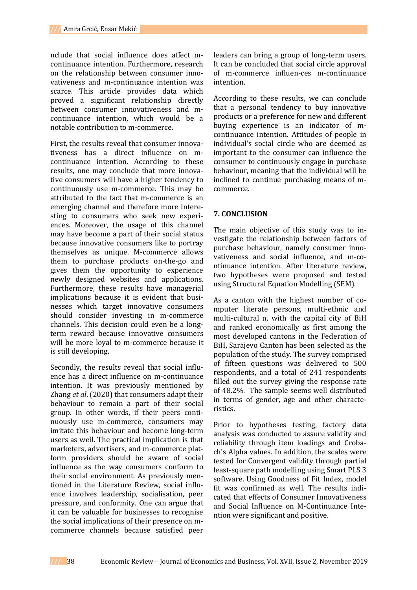nclude that social influence does affect mcontinuance intention. Furthermore, research on the relationship between consumer innovativeness and m-continuance intention was scarce. This article provides data which proved a significant relationship directly between consumer innovativeness and mcontinuance intention, which would be a notable contribution to m-commerce.

First, the results reveal that consumer innovativeness has a direct influence on mcontinuance intention. According to these results, one may conclude that more innovative consumers will have a higher tendency to continuously use m-commerce. This may be attributed to the fact that m-commerce is an emerging channel and therefore more interesting to consumers who seek new experiences. Moreover, the usage of this channel may have become a part of their social status because innovative consumers like to portray themselves as unique. M-commerce allows them to purchase products on-the-go and gives them the opportunity to experience newly designed websites and applications. Furthermore, these results have managerial implications because it is evident that businesses which target innovative consumers should consider investing in m-commerce channels. This decision could even be a longterm reward because innovative consumers will be more loyal to m-commerce because it is still developing.

Secondly, the results reveal that social influence has a direct influence on m-continuance intention. It was previously mentioned by Zhang *et al*. (2020) that consumers adapt their behaviour to remain a part of their social group. In other words, if their peers continuously use m-commerce, consumers may imitate this behaviour and become long-term users as well. The practical implication is that marketers, advertisers, and m-commerce platform providers should be aware of social influence as the way consumers conform to their social environment. As previously mentioned in the Literature Review, social influence involves leadership, socialisation, peer pressure, and conformity. One can argue that it can be valuable for businesses to recognise the social implications of their presence on mcommerce channels because satisfied peer

leaders can bring a group of long-term users. It can be concluded that social circle approval of m-commerce influen-ces m-continuance intention.

According to these results, we can conclude that a personal tendency to buy innovative products or a preference for new and different buying experience is an indicator of mcontinuance intention. Attitudes of people in individual's social circle who are deemed as important to the consumer can influence the consumer to continuously engage in purchase behaviour, meaning that the individual will be inclined to continue purchasing means of mcommerce.

### **7. CONCLUSION**

The main objective of this study was to investigate the relationship between factors of purchase behaviour, namely consumer innovativeness and social influence, and m-continuance intention. After literature review, two hypotheses were proposed and tested using Structural Equation Modelling (SEM).

As a canton with the highest number of computer literate persons, multi-ethnic and multi-cultural n, with the capital city of BiH and ranked economically as first among the most developed cantons in the Federation of BiH, Sarajevo Canton has been selected as the population of the study. The survey comprised of fifteen questions was delivered to 500 respondents, and a total of 241 respondents filled out the survey giving the response rate of 48.2%. The sample seems well distributed in terms of gender, age and other characteristics.

Prior to hypotheses testing, factory data analysis was conducted to assure validity and reliability through item loadings and Crobach's Alpha values. In addition, the scales were tested for Convergent validity through partial least-square path modelling using Smart PLS 3 software. Using Goodness of Fit Index, model fit was confirmed as well. The results indicated that effects of Consumer Innovativeness and Social Influence on M-Continuance Intention were significant and positive.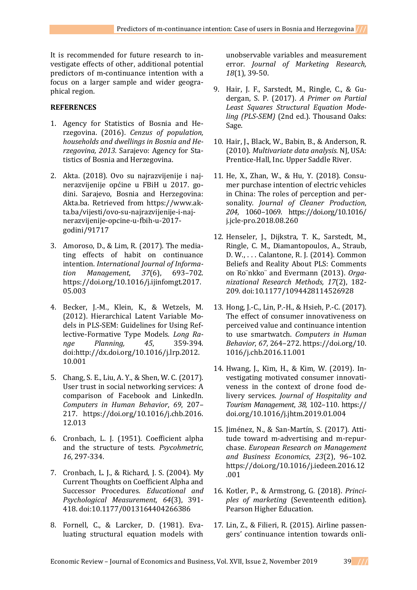It is recommended for future research to investigate effects of other, additional potential predictors of m-continuance intention with a focus on a larger sample and wider geographical region.

### **REFERENCES**

- 1. Agency for Statistics of Bosnia and Herzegovina. (2016). *Cenzus of population, households and dwellings in Bosnia and Herzegovina, 2013.* Sarajevo: Agency for Statistics of Bosnia and Herzegovina.
- 2. Akta. (2018). Ovo su najrazvijenije i najnerazvijenije općine u FBiH u 2017. godini. Sarajevo, Bosnia and Herzegovina: Akta.ba. Retrieved from https://www.akta.ba/vijesti/ovo-su-najrazvijenije-i-najnerazvijenije-opcine-u-fbih-u-2017 godini/91717
- 3. Amoroso, D., & Lim, R. (2017). The mediating effects of habit on continuance intention. *International Journal of Information Management*, *37*(6), 693–702. https://doi.org/10.1016/j.ijinfomgt.2017. 05.003
- 4. Becker, J.-M., Klein, K., & Wetzels, M. (2012). Hierarchical Latent Variable Models in PLS-SEM: Guidelines for Using Reflective-Formative Type Models. *Long Range Planning, 45*, 359-394. doi:http://dx.doi.org/10.1016/j.lrp.2012. 10.001
- 5. Chang, S. E., Liu, A. Y., & Shen, W. C. (2017). User trust in social networking services: A comparison of Facebook and LinkedIn. *Computers in Human Behavior*, *69*, 207– 217. https://doi.org/10.1016/j.chb.2016. 12.013
- 6. Cronbach, L. J. (1951). Coefficient alpha and the structure of tests. *Psycohmetric, 16*, 297-334.
- 7. Cronbach, L. J., & Richard, J. S. (2004). My Current Thoughts on Coefficient Alpha and Successor Procedures. *Educational and Psychological Measurement, 64*(3), 391- 418. doi:10.1177/0013164404266386
- 8. Fornell, C., & Larcker, D. (1981). Evaluating structural equation models with

unobservable variables and measurement error. *Journal of Marketing Research, 18*(1), 39-50.

- 9. Hair, J. F., Sarstedt, M., Ringle, C., & Gudergan, S. P. (2017). *A Primer on Partial Least Squares Structural Equation Modeling (PLS-SEM)* (2nd ed.). Thousand Oaks: Sage.
- 10. Hair, J., Black, W., Babin, B., & Anderson, R. (2010). *Multivariate data analysis.* NJ, USA: Prentice-Hall, Inc. Upper Saddle River.
- 11. He, X., Zhan, W., & Hu, Y. (2018). Consumer purchase intention of electric vehicles in China: The roles of perception and personality. *Journal of Cleaner Production*, *204*, 1060–1069. https://doi.org/10.1016/ j.jcle-pro.2018.08.260
- 12. Henseler, J., Dijkstra, T. K., Sarstedt, M., Ringle, C. M., Diamantopoulos, A., Straub, D. W., . . . Calantone, R. J. (2014). Common Beliefs and Reality About PLS: Comments on Ro¨nkko¨ and Evermann (2013). *Organizational Research Methods, 17*(2), 182- 209. doi:10.1177/1094428114526928
- 13. Hong, J.-C., Lin, P.-H., & Hsieh, P.-C. (2017). The effect of consumer innovativeness on perceived value and continuance intention to use smartwatch. *Computers in Human Behavior*, *67*, 264–272. https://doi.org/10. 1016/j.chb.2016.11.001
- 14. Hwang, J., Kim, H., & Kim, W. (2019). Investigating motivated consumer innovativeness in the context of drone food delivery services. *Journal of Hospitality and Tourism Management*, *38*, 102–110. https:// doi.org/10.1016/j.jhtm.2019.01.004
- 15. Jiménez, N., & San-Martín, S. (2017). Attitude toward m-advertising and m-repurchase. *European Research on Management and Business Economics*, *23*(2), 96–102. https://doi.org/10.1016/j.iedeen.2016.12 .001
- 16. Kotler, P., & Armstrong, G. (2018). *Principles of marketing* (Seventeenth edition). Pearson Higher Education.
- 17. Lin, Z., & Filieri, R. (2015). Airline passengers' continuance intention towards onli-